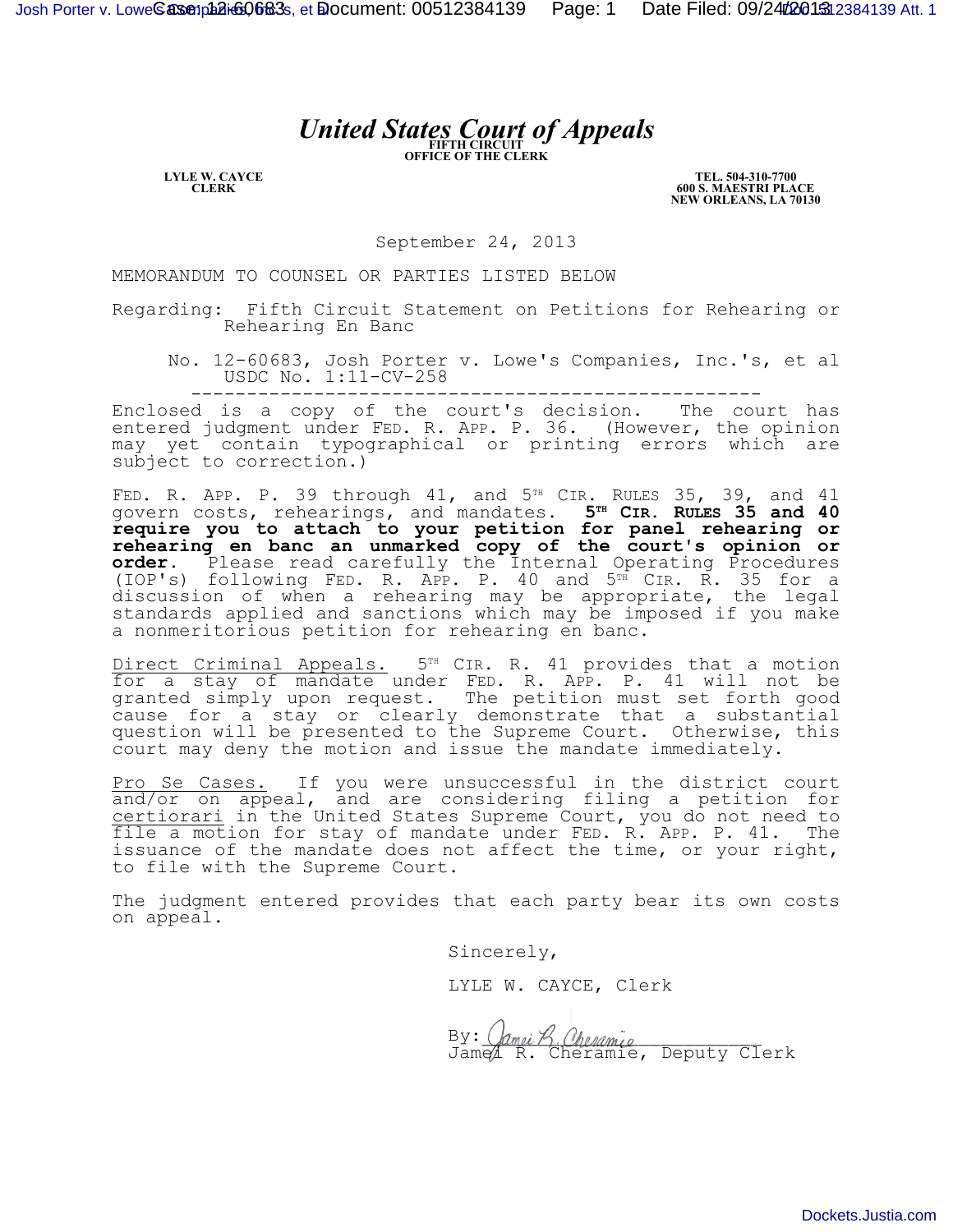## *United States Court of Appeals*

**LYLE W. CAYCE CLERK**

**TEL. 504-310-7700 600 S. MAESTRI PLACE NEW ORLEANS, LA 70130**

September 24, 2013

MEMORANDUM TO COUNSEL OR PARTIES LISTED BELOW

Regarding: Fifth Circuit Statement on Petitions for Rehearing or Rehearing En Banc

No. 12-60683, Josh Porter v. Lowe's Companies, Inc.'s, et al USDC No. 1:11-CV-258

---------------------------------------------------

Enclosed is a copy of the court's decision. The court has entered judgment under FED. R. APP. P. 36. (However, the opinion may yet contain typographical or printing errors which are subject to correction.)

FED. R. APP. P. 39 through 41, and  $5<sup>TH</sup>$  CIR. RULES 35, 39, and 41 govern costs, rehearings, and mandates. **5TH CIR. RULES 35 and 40 require you to attach to your petition for panel rehearing or rehearing en banc an unmarked copy of the court's opinion or order.** Please read carefully the Internal Operating Procedures (IOP's) following FED. R. APP. P. 40 and 5<sup>TH</sup> CIR. R. 35 for a discussion of when a rehearing may be appropriate, the legal standards applied and sanctions which may be imposed if you make a nonmeritorious petition for rehearing en banc.

Direct Criminal Appeals. 5<sup>TH</sup> CIR. R. 41 provides that a motion for a stay of mandate under FED. R. APP. P. 41 will not be granted simply upon request. The petition must set forth good cause for a stay or clearly demonstrate that a substantial question will be presented to the Supreme Court. Otherwise, this court may deny the motion and issue the mandate immediately.

Pro Se Cases. If you were unsuccessful in the district court and/or on appeal, and are considering filing a petition for certiorari in the United States Supreme Court, you do not need to file a motion for stay of mandate under FED. R. APP. P. 41. The issuance of the mandate does not affect the time, or your right, to file with the Supreme Court.

The judgment entered provides that each party bear its own costs on appeal.

Sincerely,

LYLE W. CAYCE, Clerk

 $By: \; \langle \textit{Amei } \mathcal{B} \rangle$ . Cheramic Jamel R. Cheramie, Deputy Clerk